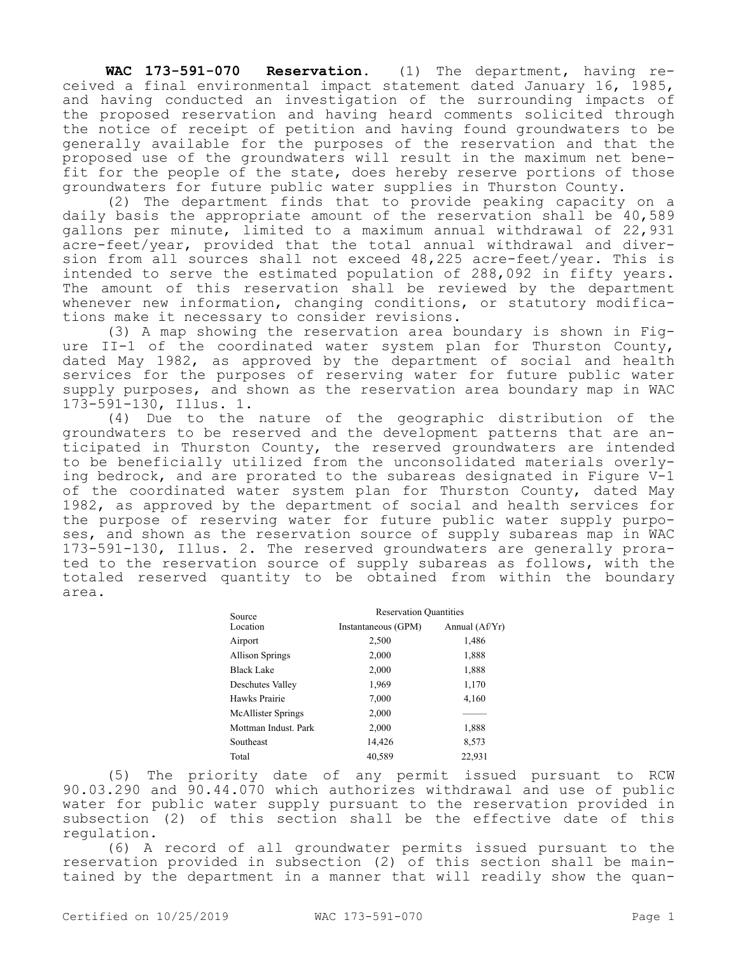**WAC 173-591-070 Reservation.** (1) The department, having received a final environmental impact statement dated January 16, 1985, and having conducted an investigation of the surrounding impacts of the proposed reservation and having heard comments solicited through the notice of receipt of petition and having found groundwaters to be generally available for the purposes of the reservation and that the proposed use of the groundwaters will result in the maximum net benefit for the people of the state, does hereby reserve portions of those groundwaters for future public water supplies in Thurston County.

(2) The department finds that to provide peaking capacity on a daily basis the appropriate amount of the reservation shall be 40,589 gallons per minute, limited to a maximum annual withdrawal of 22,931 acre-feet/year, provided that the total annual withdrawal and diversion from all sources shall not exceed 48,225 acre-feet/year. This is intended to serve the estimated population of 288,092 in fifty years. The amount of this reservation shall be reviewed by the department whenever new information, changing conditions, or statutory modifications make it necessary to consider revisions.

(3) A map showing the reservation area boundary is shown in Figure II-1 of the coordinated water system plan for Thurston County, dated May 1982, as approved by the department of social and health services for the purposes of reserving water for future public water supply purposes, and shown as the reservation area boundary map in WAC 173-591-130, Illus. 1.

(4) Due to the nature of the geographic distribution of the groundwaters to be reserved and the development patterns that are anticipated in Thurston County, the reserved groundwaters are intended to be beneficially utilized from the unconsolidated materials overlying bedrock, and are prorated to the subareas designated in Figure V-1 of the coordinated water system plan for Thurston County, dated May 1982, as approved by the department of social and health services for the purpose of reserving water for future public water supply purposes, and shown as the reservation source of supply subareas map in WAC 173-591-130, Illus. 2. The reserved groundwaters are generally prorated to the reservation source of supply subareas as follows, with the totaled reserved quantity to be obtained from within the boundary area.

| Source<br>Location     | <b>Reservation Quantities</b> |                |
|------------------------|-------------------------------|----------------|
|                        | Instantaneous (GPM)           | Annual (Af/Yr) |
| Airport                | 2,500                         | 1,486          |
| <b>Allison Springs</b> | 2,000                         | 1,888          |
| <b>Black Lake</b>      | 2,000                         | 1,888          |
| Deschutes Valley       | 1,969                         | 1,170          |
| Hawks Prairie          | 7,000                         | 4,160          |
| McAllister Springs     | 2,000                         |                |
| Mottman Indust. Park   | 2,000                         | 1,888          |
| Southeast              | 14,426                        | 8,573          |
| Total                  | 40,589                        | 22,931         |
|                        |                               |                |

(5) The priority date of any permit issued pursuant to RCW 90.03.290 and 90.44.070 which authorizes withdrawal and use of public water for public water supply pursuant to the reservation provided in subsection (2) of this section shall be the effective date of this regulation.

(6) A record of all groundwater permits issued pursuant to the reservation provided in subsection (2) of this section shall be maintained by the department in a manner that will readily show the quan